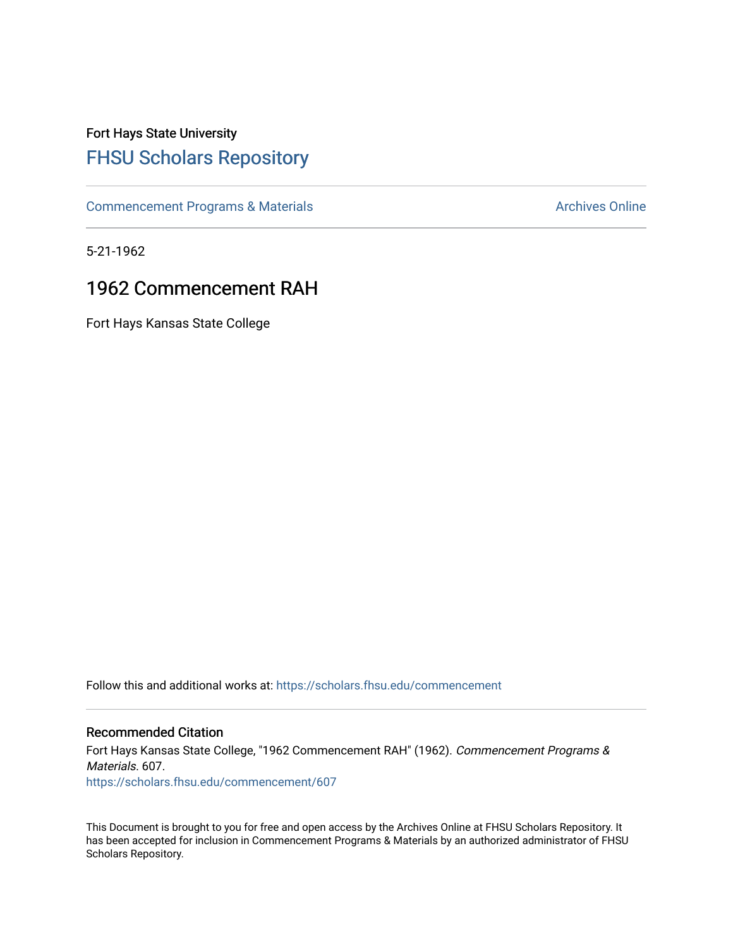# Fort Hays State University [FHSU Scholars Repository](https://scholars.fhsu.edu/)

[Commencement Programs & Materials](https://scholars.fhsu.edu/commencement) **Archives Online** Archives Online

5-21-1962

## 1962 Commencement RAH

Fort Hays Kansas State College

Follow this and additional works at: [https://scholars.fhsu.edu/commencement](https://scholars.fhsu.edu/commencement?utm_source=scholars.fhsu.edu%2Fcommencement%2F607&utm_medium=PDF&utm_campaign=PDFCoverPages)

### Recommended Citation

Fort Hays Kansas State College, "1962 Commencement RAH" (1962). Commencement Programs & Materials. 607. [https://scholars.fhsu.edu/commencement/607](https://scholars.fhsu.edu/commencement/607?utm_source=scholars.fhsu.edu%2Fcommencement%2F607&utm_medium=PDF&utm_campaign=PDFCoverPages)

This Document is brought to you for free and open access by the Archives Online at FHSU Scholars Repository. It has been accepted for inclusion in Commencement Programs & Materials by an authorized administrator of FHSU Scholars Repository.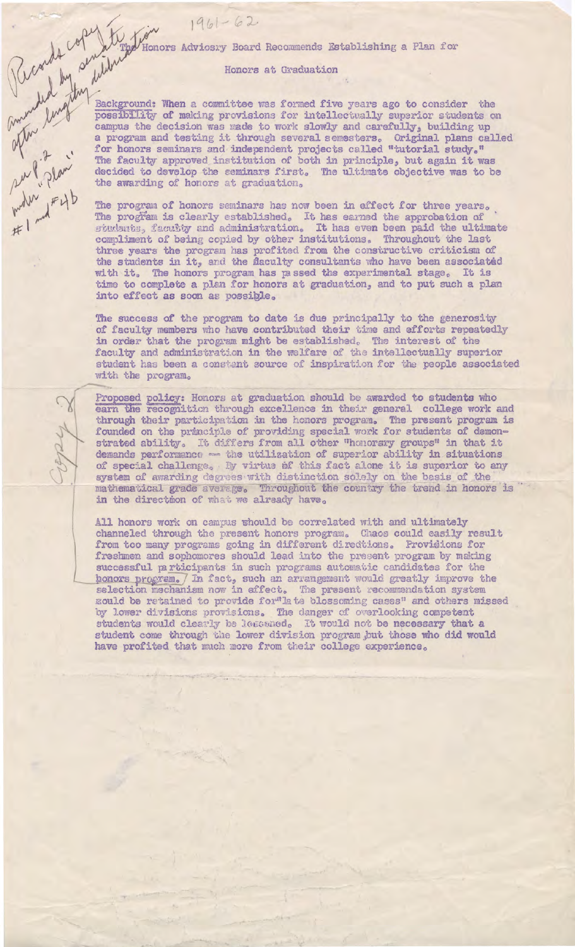$\begin{array}{|c|c|} \hline \text{WMM} & \text{MMM} \end{array} \begin{array}{|c|c|} \hline \text{Honors} & \text{Advios:}y & \text{Board}} & \text{Recommends} & \text{Bstablishing a Plan } \text{foa} \\ \hline \text{Honors at Gradient} & \text{Honors at Gradient} & \text{Honors at Gradient} \\ \hline \text{Dostabilishing a Plan } & \text{Dostabilishing a Plan } \text{rocaubilishing a Plan } & \text{Rachig notational} \\ \hline \text{Gauss and the decision was made to work a) } & \text{compos semimars and testing it through a} \\ \hline \text{M$ Background: When a committee was formed five years ago to consider the possibility of making provisions for intellectually superior students on campus the decision was made to work slowly and carefully, building up a program and testing it through several semesters. Original plans called for honors seminars and independent projects called "tutorial study." The faculty approved institution of both in principle, but again it was decided to develop the seminars first. The ultimate objective was to be

The program of honors seminars has now been in effect for three years. The program is clearly established. It has earned the approbation of students, faculty and administration. It has even been paid the ultimate compliment of being copied by other institutions. Throughout the last three years the program has profited from the constructive criticism of the students in it, and the flaculty consultants who have been associated with it. The honors program has passed the experimental stage. It is time to complete a plan for honors at graduation, and to put such a plan into effect as soon as possible.

The success of the program to date is due principally to the generosity of faculty members who have contributed their time and efforts repeatedly in order that the program might be established. The interest of the faculty and administration in the welfare of the intellectually superior student has been a constant source of inspiration for the people associated with the program.

Proposed policy: Honors at graduation should be awarded to students who earn the recognition through excellence in their general college work and through their participation in the honors program. The present program is founded on the principle of providing special work for students of demonstrated ability. It differs from all other "honorary groups" in that it demands performance - the utilization of superior ability in situations of special challenge. By virtue of this fact alone it is superior to any system of awarding degrees with distinction solely on the basis of the mathematical grade average. Throughout the country the trend in honors is in the directmon of what we already have.

All honors work on campus whould be correlated with and ultimately channeled through the present honors program. Chaos could easily result from too many programs going in different directions. Providions for freshmen and sophomores should lead into the present program by making successful participants in such programs automatic candidates for the honors program. In fact, such an arrangement would greatly improve the selection mechanism now in effect. The present recommendation system mould be retained to provide for"late blossoming cases" and others missed by lower divisions provisions. The danger of overlooking competent students would clearly be lessaed. It would not be necessary that a student come through the lower division program but those who did would have profited that much more from their college experience.